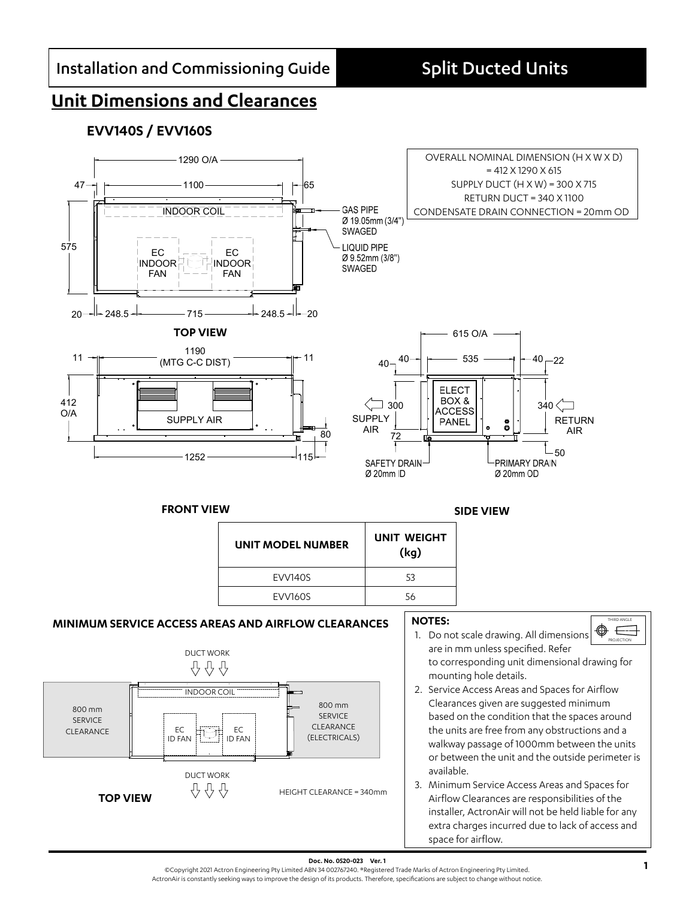# **Unit Dimensions and Clearances**

## **EVV140S / EVV160S**



space for airflow.

**Doc. No. 0520-023 Ver. 1**<br>©Copyright 2021 Actron Engineering Pty Limited ABN 34 002767240. ®Registered Trade Marks of Actron Engineering Pty Limited.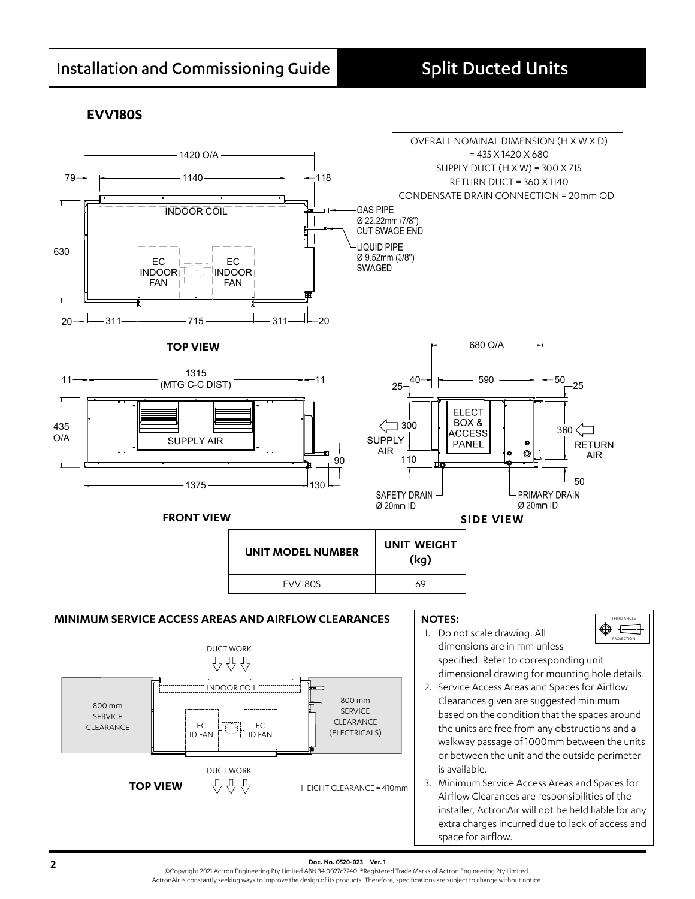### **EVV180S**